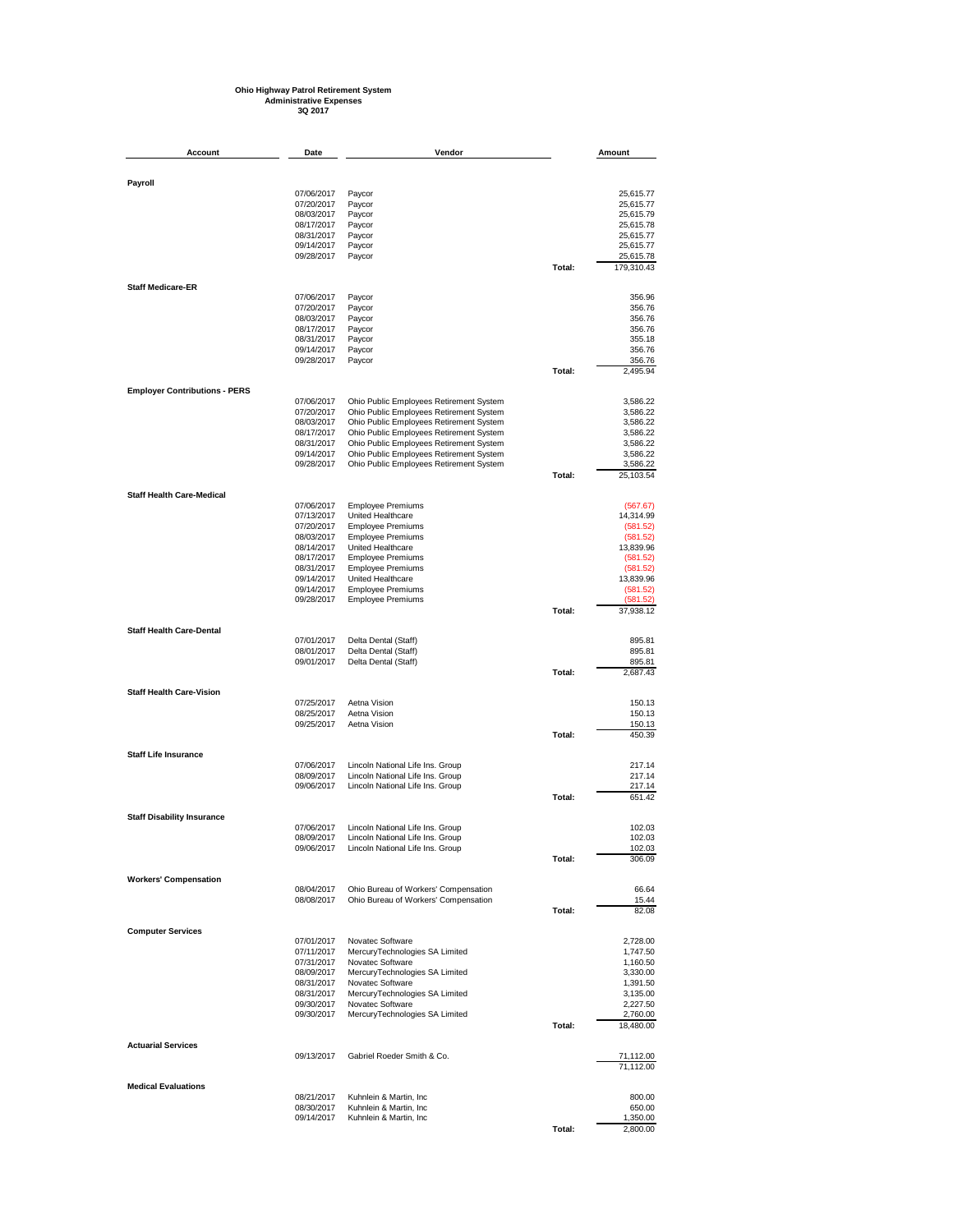## **Ohio Highway Patrol Retirement System Administrative Expenses 3Q 2017**

| Account                              | Date                     | Vendor                                                               |        | Amount                 |
|--------------------------------------|--------------------------|----------------------------------------------------------------------|--------|------------------------|
|                                      |                          |                                                                      |        |                        |
| Payroll                              |                          |                                                                      |        |                        |
|                                      | 07/06/2017               | Paycor                                                               |        | 25,615.77              |
|                                      | 07/20/2017               | Paycor                                                               |        | 25,615.77              |
|                                      | 08/03/2017<br>08/17/2017 | Paycor                                                               |        | 25,615.79              |
|                                      | 08/31/2017               | Paycor<br>Paycor                                                     |        | 25,615.78<br>25,615.77 |
|                                      | 09/14/2017               | Paycor                                                               |        | 25,615.77              |
|                                      | 09/28/2017               | Paycor                                                               |        | 25,615.78              |
|                                      |                          |                                                                      | Total: | 179,310.43             |
| <b>Staff Medicare-ER</b>             |                          |                                                                      |        |                        |
|                                      | 07/06/2017               | Paycor                                                               |        | 356.96                 |
|                                      | 07/20/2017<br>08/03/2017 | Paycor<br>Paycor                                                     |        | 356.76<br>356.76       |
|                                      | 08/17/2017               | Paycor                                                               |        | 356.76                 |
|                                      | 08/31/2017               | Paycor                                                               |        | 355.18                 |
|                                      | 09/14/2017               | Paycor                                                               |        | 356.76                 |
|                                      | 09/28/2017               | Paycor                                                               |        | 356.76                 |
|                                      |                          |                                                                      | Total: | 2,495.94               |
| <b>Employer Contributions - PERS</b> |                          |                                                                      |        |                        |
|                                      | 07/06/2017               | Ohio Public Employees Retirement System                              |        | 3,586.22               |
|                                      | 07/20/2017               | Ohio Public Employees Retirement System                              |        | 3,586.22               |
|                                      | 08/03/2017               | Ohio Public Employees Retirement System                              |        | 3,586.22               |
|                                      | 08/17/2017               | Ohio Public Employees Retirement System                              |        | 3,586.22               |
|                                      | 08/31/2017               | Ohio Public Employees Retirement System                              |        | 3,586.22               |
|                                      | 09/14/2017               | Ohio Public Employees Retirement System                              |        | 3,586.22               |
|                                      | 09/28/2017               | Ohio Public Employees Retirement System                              | Total: | 3,586.22<br>25,103.54  |
|                                      |                          |                                                                      |        |                        |
| <b>Staff Health Care-Medical</b>     | 07/06/2017               | Employee Premiums                                                    |        | (567.67)               |
|                                      | 07/13/2017               | United Healthcare                                                    |        | 14,314.99              |
|                                      | 07/20/2017               | <b>Employee Premiums</b>                                             |        | (581.52)               |
|                                      | 08/03/2017               | <b>Employee Premiums</b>                                             |        | (581.52)               |
|                                      | 08/14/2017               | United Healthcare                                                    |        | 13,839.96              |
|                                      | 08/17/2017               | <b>Employee Premiums</b>                                             |        | (581.52)               |
|                                      | 08/31/2017               | <b>Employee Premiums</b>                                             |        | (581.52)               |
|                                      | 09/14/2017<br>09/14/2017 | United Healthcare                                                    |        | 13,839.96              |
|                                      | 09/28/2017               | <b>Employee Premiums</b><br><b>Employee Premiums</b>                 |        | (581.52)<br>(581.52)   |
|                                      |                          |                                                                      | Total: | 37,938.12              |
| <b>Staff Health Care-Dental</b>      |                          |                                                                      |        |                        |
|                                      | 07/01/2017               | Delta Dental (Staff)                                                 |        | 895.81                 |
|                                      | 08/01/2017               | Delta Dental (Staff)                                                 |        | 895.81                 |
|                                      | 09/01/2017               | Delta Dental (Staff)                                                 | Total: | 895.81<br>2,687.43     |
|                                      |                          |                                                                      |        |                        |
| <b>Staff Health Care-Vision</b>      | 07/25/2017               | Aetna Vision                                                         |        | 150.13                 |
|                                      | 08/25/2017               | Aetna Vision                                                         |        | 150.13                 |
|                                      | 09/25/2017               | Aetna Vision                                                         |        | 150.13                 |
|                                      |                          |                                                                      | Total: | 450.39                 |
| <b>Staff Life Insurance</b>          |                          |                                                                      |        |                        |
|                                      | 07/06/2017               | Lincoln National Life Ins. Group                                     |        | 217.14                 |
|                                      | 08/09/2017               | Lincoln National Life Ins. Group                                     |        | 217.14                 |
|                                      | 09/06/2017               | Lincoln National Life Ins. Group                                     |        | 217.14                 |
|                                      |                          |                                                                      | Total: | 651.42                 |
| <b>Staff Disability Insurance</b>    |                          |                                                                      |        |                        |
|                                      | 07/06/2017<br>08/09/2017 | Lincoln National Life Ins. Group<br>Lincoln National Life Ins. Group |        | 102.03<br>102.03       |
|                                      | 09/06/2017               | Lincoln National Life Ins. Group                                     |        | 102.03                 |
|                                      |                          |                                                                      | Total: | 306.09                 |
| <b>Workers' Compensation</b>         |                          |                                                                      |        |                        |
|                                      | 08/04/2017               | Ohio Bureau of Workers' Compensation                                 |        | 66.64                  |
|                                      | 08/08/2017               | Ohio Bureau of Workers' Compensation                                 |        | 15.44                  |
|                                      |                          |                                                                      | Total: | 82.08                  |
| <b>Computer Services</b>             |                          |                                                                      |        |                        |
|                                      | 07/01/2017               | Novatec Software                                                     |        | 2,728.00               |
|                                      | 07/11/2017<br>07/31/2017 | MercuryTechnologies SA Limited<br>Novatec Software                   |        | 1,747.50<br>1,160.50   |
|                                      | 08/09/2017               | MercuryTechnologies SA Limited                                       |        | 3,330.00               |
|                                      | 08/31/2017               | Novatec Software                                                     |        | 1,391.50               |
|                                      | 08/31/2017               | MercuryTechnologies SA Limited                                       |        | 3,135.00               |
|                                      | 09/30/2017               | Novatec Software                                                     |        | 2,227.50               |
|                                      | 09/30/2017               | MercuryTechnologies SA Limited                                       |        | 2,760.00               |
|                                      |                          |                                                                      | Total: | 18,480.00              |
| <b>Actuarial Services</b>            | 09/13/2017               | Gabriel Roeder Smith & Co.                                           |        | 71,112.00              |
|                                      |                          |                                                                      |        | 71,112.00              |
| <b>Medical Evaluations</b>           |                          |                                                                      |        |                        |
|                                      | 08/21/2017               | Kuhnlein & Martin, Inc                                               |        | 800.00                 |
|                                      | 08/30/2017<br>09/14/2017 | Kuhnlein & Martin, Inc<br>Kuhnlein & Martin, Inc                     |        | 650.00<br>1,350.00     |
|                                      |                          |                                                                      | Total: | 2,800.00               |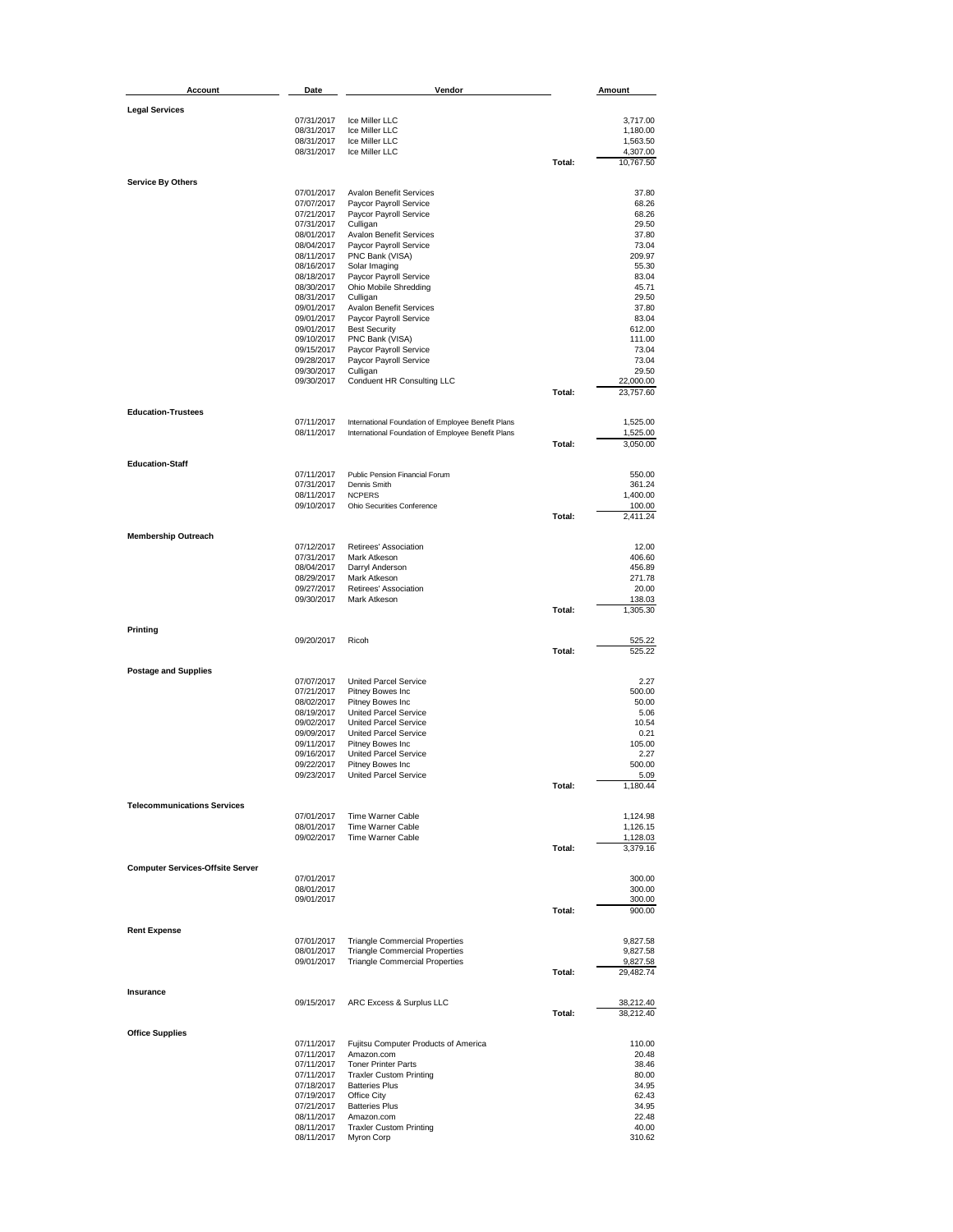| <b>Account</b>                          | Date                     | Vendor                                                   |        | Amount                |
|-----------------------------------------|--------------------------|----------------------------------------------------------|--------|-----------------------|
|                                         |                          |                                                          |        |                       |
| <b>Legal Services</b>                   | 07/31/2017               | Ice Miller LLC                                           |        | 3,717.00              |
|                                         | 08/31/2017               | Ice Miller LLC                                           |        | 1,180.00              |
|                                         | 08/31/2017               | Ice Miller LLC                                           |        | 1,563.50              |
|                                         | 08/31/2017               | Ice Miller LLC                                           | Total: | 4,307.00<br>10,767.50 |
|                                         |                          |                                                          |        |                       |
| <b>Service By Others</b>                |                          |                                                          |        |                       |
|                                         | 07/01/2017<br>07/07/2017 | <b>Avalon Benefit Services</b><br>Paycor Payroll Service |        | 37.80<br>68.26        |
|                                         | 07/21/2017               | Paycor Payroll Service                                   |        | 68.26                 |
|                                         | 07/31/2017               | Culligan                                                 |        | 29.50                 |
|                                         | 08/01/2017               | <b>Avalon Benefit Services</b>                           |        | 37.80                 |
|                                         | 08/04/2017<br>08/11/2017 | Paycor Payroll Service<br>PNC Bank (VISA)                |        | 73.04<br>209.97       |
|                                         | 08/16/2017               | Solar Imaging                                            |        | 55.30                 |
|                                         | 08/18/2017               | Paycor Payroll Service                                   |        | 83.04                 |
|                                         | 08/30/2017               | Ohio Mobile Shredding                                    |        | 45.71                 |
|                                         | 08/31/2017<br>09/01/2017 | Culligan<br><b>Avalon Benefit Services</b>               |        | 29.50<br>37.80        |
|                                         | 09/01/2017               | Paycor Payroll Service                                   |        | 83.04                 |
|                                         | 09/01/2017               | <b>Best Security</b>                                     |        | 612.00                |
|                                         | 09/10/2017               | PNC Bank (VISA)                                          |        | 111.00                |
|                                         | 09/15/2017               | Paycor Payroll Service                                   |        | 73.04                 |
|                                         | 09/28/2017               | Paycor Payroll Service                                   |        | 73.04                 |
|                                         | 09/30/2017<br>09/30/2017 | Culligan<br>Conduent HR Consulting LLC                   |        | 29.50<br>22,000.00    |
|                                         |                          |                                                          | Total: | 23,757.60             |
|                                         |                          |                                                          |        |                       |
| <b>Education-Trustees</b>               | 07/11/2017               | International Foundation of Employee Benefit Plans       |        | 1,525.00              |
|                                         | 08/11/2017               | International Foundation of Employee Benefit Plans       |        | 1,525.00              |
|                                         |                          |                                                          | Total: | 3,050.00              |
| <b>Education-Staff</b>                  |                          |                                                          |        |                       |
|                                         | 07/11/2017               | Public Pension Financial Forum                           |        | 550.00                |
|                                         | 07/31/2017               | Dennis Smith                                             |        | 361.24                |
|                                         | 08/11/2017               | <b>NCPERS</b>                                            |        | 1,400.00              |
|                                         | 09/10/2017               | Ohio Securities Conference                               |        | 100.00                |
|                                         |                          |                                                          | Total: | 2,411.24              |
| <b>Membership Outreach</b>              |                          |                                                          |        |                       |
|                                         | 07/12/2017               | Retirees' Association                                    |        | 12.00                 |
|                                         | 07/31/2017<br>08/04/2017 | Mark Atkeson<br>Darryl Anderson                          |        | 406.60<br>456.89      |
|                                         | 08/29/2017               | Mark Atkeson                                             |        | 271.78                |
|                                         | 09/27/2017               | Retirees' Association                                    |        | 20.00                 |
|                                         | 09/30/2017               | Mark Atkeson                                             |        | 138.03                |
|                                         |                          |                                                          | Total: | 1,305.30              |
| Printing                                |                          |                                                          |        |                       |
|                                         | 09/20/2017               | Ricoh                                                    |        | 525.22                |
|                                         |                          |                                                          | Total: | 525.22                |
| <b>Postage and Supplies</b>             |                          |                                                          |        |                       |
|                                         | 07/07/2017               | <b>United Parcel Service</b>                             |        | 2.27                  |
|                                         | 07/21/2017               | Pitney Bowes Inc                                         |        | 500.00                |
|                                         | 08/02/2017<br>08/19/2017 | Pitney Bowes Inc<br><b>United Parcel Service</b>         |        | 50.00<br>5.06         |
|                                         | 09/02/2017               | <b>United Parcel Service</b>                             |        | 10.54                 |
|                                         | 09/09/2017               | <b>United Parcel Service</b>                             |        | 0.21                  |
|                                         | 09/11/2017               | Pitney Bowes Inc                                         |        | 105.00                |
|                                         | 09/16/2017               | <b>United Parcel Service</b>                             |        | 2.27                  |
|                                         | 09/22/2017               | Pitney Bowes Inc                                         |        | 500.00                |
|                                         | 09/23/2017               | United Parcel Service                                    | Total: | 5.09<br>1,180.44      |
|                                         |                          |                                                          |        |                       |
| <b>Telecommunications Services</b>      |                          |                                                          |        |                       |
|                                         | 07/01/2017<br>08/01/2017 | Time Warner Cable<br>Time Warner Cable                   |        | 1,124.98<br>1,126.15  |
|                                         | 09/02/2017               | Time Warner Cable                                        |        | 1,128.03              |
|                                         |                          |                                                          | Total: | 3,379.16              |
|                                         |                          |                                                          |        |                       |
| <b>Computer Services-Offsite Server</b> | 07/01/2017               |                                                          |        | 300.00                |
|                                         | 08/01/2017               |                                                          |        | 300.00                |
|                                         | 09/01/2017               |                                                          |        | 300.00                |
|                                         |                          |                                                          | Total: | 900.00                |
| <b>Rent Expense</b>                     |                          |                                                          |        |                       |
|                                         | 07/01/2017               | <b>Triangle Commercial Properties</b>                    |        | 9,827.58              |
|                                         | 08/01/2017               | <b>Triangle Commercial Properties</b>                    |        | 9,827.58              |
|                                         | 09/01/2017               | <b>Triangle Commercial Properties</b>                    |        | 9,827.58              |
|                                         |                          |                                                          | Total: | 29,482.74             |
| Insurance                               |                          |                                                          |        |                       |
|                                         | 09/15/2017               | ARC Excess & Surplus LLC                                 | Total: | 38,212.40             |
|                                         |                          |                                                          |        | 38,212.40             |
| <b>Office Supplies</b>                  |                          |                                                          |        |                       |
|                                         | 07/11/2017               | Fujitsu Computer Products of America                     |        | 110.00                |
|                                         | 07/11/2017<br>07/11/2017 | Amazon.com<br><b>Toner Printer Parts</b>                 |        | 20.48<br>38.46        |
|                                         | 07/11/2017               | <b>Traxler Custom Printing</b>                           |        | 80.00                 |
|                                         | 07/18/2017               | <b>Batteries Plus</b>                                    |        | 34.95                 |
|                                         | 07/19/2017               | Office City                                              |        | 62.43                 |
|                                         | 07/21/2017               | <b>Batteries Plus</b>                                    |        | 34.95                 |
|                                         | 08/11/2017<br>08/11/2017 | Amazon.com<br><b>Traxler Custom Printing</b>             |        | 22.48<br>40.00        |
|                                         | 08/11/2017               | Myron Corp                                               |        | 310.62                |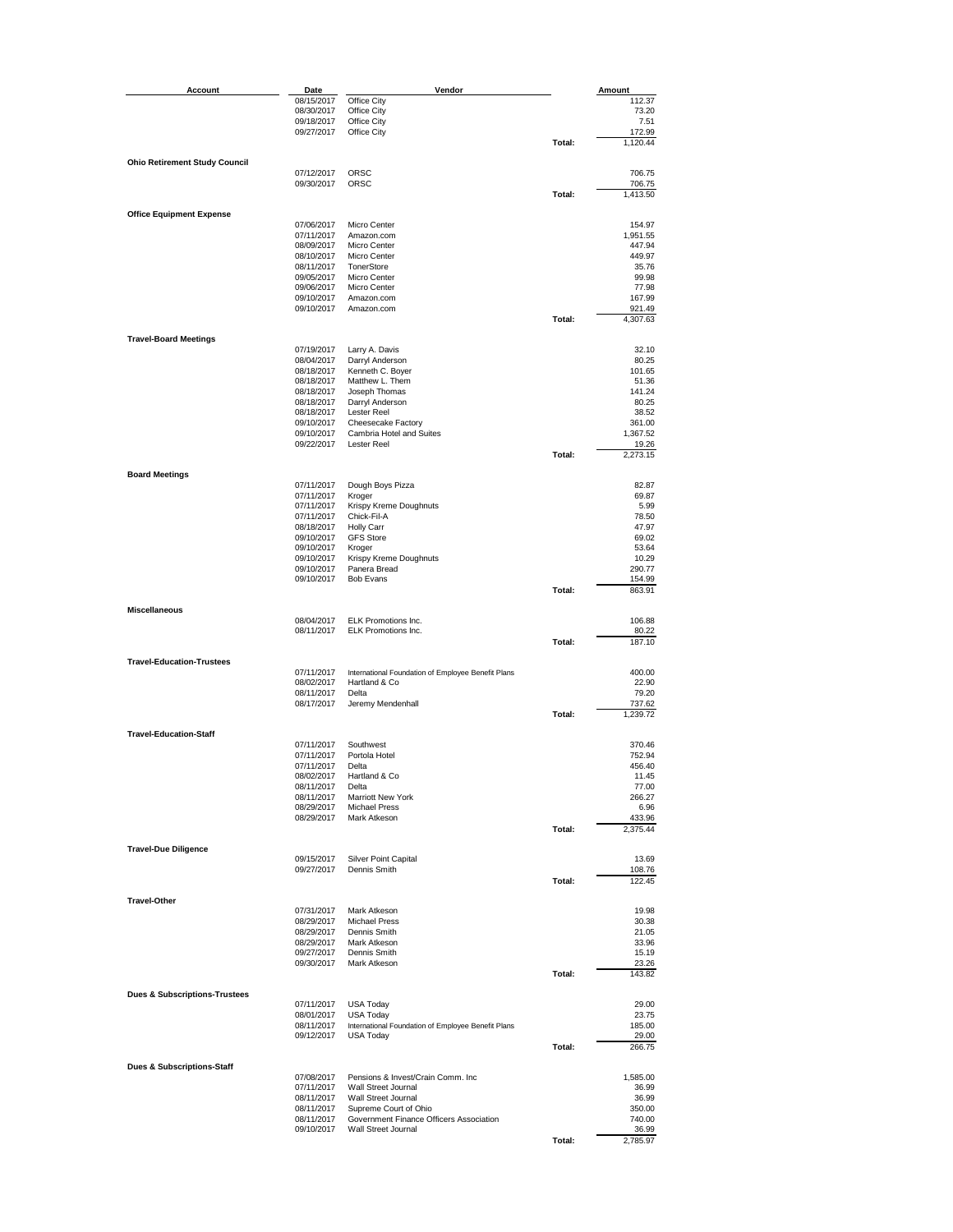| Account                                  | Date                     | Vendor                                             |        | Amount             |
|------------------------------------------|--------------------------|----------------------------------------------------|--------|--------------------|
|                                          | 08/15/2017               | Office City                                        |        | 112.37             |
|                                          | 08/30/2017               | Office City                                        |        | 73.20              |
|                                          | 09/18/2017               | Office City                                        |        | 7.51               |
|                                          | 09/27/2017               | Office City                                        |        | 172.99             |
|                                          |                          |                                                    | Total: | 1,120.44           |
| <b>Ohio Retirement Study Council</b>     |                          |                                                    |        |                    |
|                                          | 07/12/2017               | ORSC                                               |        | 706.75             |
|                                          | 09/30/2017               | ORSC                                               |        | 706.75             |
|                                          |                          |                                                    | Total: | 1,413.50           |
|                                          |                          |                                                    |        |                    |
| <b>Office Equipment Expense</b>          |                          |                                                    |        |                    |
|                                          | 07/06/2017               | Micro Center                                       |        | 154.97             |
|                                          | 07/11/2017<br>08/09/2017 | Amazon.com<br>Micro Center                         |        | 1,951.55<br>447.94 |
|                                          | 08/10/2017               | Micro Center                                       |        | 449.97             |
|                                          | 08/11/2017               | TonerStore                                         |        | 35.76              |
|                                          | 09/05/2017               | Micro Center                                       |        | 99.98              |
|                                          | 09/06/2017               | Micro Center                                       |        | 77.98              |
|                                          | 09/10/2017               | Amazon.com                                         |        | 167.99             |
|                                          | 09/10/2017               | Amazon.com                                         |        | 921.49             |
|                                          |                          |                                                    | Total: | 4,307.63           |
| <b>Travel-Board Meetings</b>             |                          |                                                    |        |                    |
|                                          | 07/19/2017               | Larry A. Davis                                     |        | 32.10              |
|                                          | 08/04/2017               | Darryl Anderson                                    |        | 80.25              |
|                                          | 08/18/2017               | Kenneth C. Boyer                                   |        | 101.65             |
|                                          | 08/18/2017               | Matthew L. Them                                    |        | 51.36              |
|                                          | 08/18/2017               | Joseph Thomas                                      |        | 141.24             |
|                                          | 08/18/2017               | Darryl Anderson                                    |        | 80.25              |
|                                          | 08/18/2017               | Lester Reel                                        |        | 38.52              |
|                                          | 09/10/2017<br>09/10/2017 | Cheesecake Factory<br>Cambria Hotel and Suites     |        | 361.00<br>1,367.52 |
|                                          | 09/22/2017               | <b>Lester Reel</b>                                 |        | 19.26              |
|                                          |                          |                                                    | Total: | 2,273.15           |
|                                          |                          |                                                    |        |                    |
| <b>Board Meetings</b>                    |                          |                                                    |        |                    |
|                                          | 07/11/2017               | Dough Boys Pizza                                   |        | 82.87              |
|                                          | 07/11/2017               | Kroger                                             |        | 69.87              |
|                                          | 07/11/2017               | Krispy Kreme Doughnuts                             |        | 5.99               |
|                                          | 07/11/2017<br>08/18/2017 | Chick-Fil-A                                        |        | 78.50              |
|                                          | 09/10/2017               | <b>Holly Carr</b><br><b>GFS Store</b>              |        | 47.97<br>69.02     |
|                                          | 09/10/2017               | Kroger                                             |        | 53.64              |
|                                          | 09/10/2017               | Krispy Kreme Doughnuts                             |        | 10.29              |
|                                          | 09/10/2017               | Panera Bread                                       |        | 290.77             |
|                                          | 09/10/2017               | <b>Bob Evans</b>                                   |        | 154.99             |
|                                          |                          |                                                    | Total: | 863.91             |
| <b>Miscellaneous</b>                     |                          |                                                    |        |                    |
|                                          | 08/04/2017               | ELK Promotions Inc.                                |        | 106.88             |
|                                          | 08/11/2017               | ELK Promotions Inc.                                |        | 80.22              |
|                                          |                          |                                                    | Total: | 187.10             |
|                                          |                          |                                                    |        |                    |
| <b>Travel-Education-Trustees</b>         |                          |                                                    |        |                    |
|                                          | 07/11/2017               | International Foundation of Employee Benefit Plans |        | 400.00             |
|                                          | 08/02/2017               | Hartland & Co                                      |        | 22.90              |
|                                          | 08/11/2017<br>08/17/2017 | Delta<br>Jeremy Mendenhall                         |        | 79.20<br>737.62    |
|                                          |                          |                                                    | Total: | 1,239.72           |
|                                          |                          |                                                    |        |                    |
| <b>Travel-Education-Staff</b>            |                          |                                                    |        |                    |
|                                          | 07/11/2017               | Southwest                                          |        | 370.46             |
|                                          | 07/11/2017               | Portola Hotel                                      |        | 752.94             |
|                                          | 07/11/2017               | Delta                                              |        | 456.40             |
|                                          | 08/02/2017               | Hartland & Co                                      |        | 11.45              |
|                                          | 08/11/2017<br>08/11/2017 | Delta<br>Marriott New York                         |        | 77.00<br>266.27    |
|                                          | 08/29/2017               | <b>Michael Press</b>                               |        | 6.96               |
|                                          | 08/29/2017               | Mark Atkeson                                       |        | 433.96             |
|                                          |                          |                                                    | Total: | 2,375.44           |
|                                          |                          |                                                    |        |                    |
| <b>Travel-Due Diligence</b>              |                          |                                                    |        |                    |
|                                          | 09/15/2017<br>09/27/2017 | Silver Point Capital<br>Dennis Smith               |        | 13.69<br>108.76    |
|                                          |                          |                                                    | Total: | 122.45             |
|                                          |                          |                                                    |        |                    |
| <b>Travel-Other</b>                      |                          |                                                    |        |                    |
|                                          | 07/31/2017               | Mark Atkeson                                       |        | 19.98              |
|                                          | 08/29/2017               | <b>Michael Press</b>                               |        | 30.38              |
|                                          | 08/29/2017               | Dennis Smith                                       |        | 21.05              |
|                                          | 08/29/2017<br>09/27/2017 | Mark Atkeson<br>Dennis Smith                       |        | 33.96              |
|                                          | 09/30/2017               | Mark Atkeson                                       |        | 15.19              |
|                                          |                          |                                                    | Total: | 23.26<br>143.82    |
|                                          |                          |                                                    |        |                    |
| <b>Dues &amp; Subscriptions-Trustees</b> |                          |                                                    |        |                    |
|                                          | 07/11/2017               | <b>USA Today</b>                                   |        | 29.00              |
|                                          | 08/01/2017               | <b>USA Today</b>                                   |        | 23.75              |
|                                          | 08/11/2017               | International Foundation of Employee Benefit Plans |        | 185.00             |
|                                          | 09/12/2017               | <b>USA Today</b>                                   | Total: | 29.00              |
|                                          |                          |                                                    |        | 266.75             |
| Dues & Subscriptions-Staff               |                          |                                                    |        |                    |
|                                          | 07/08/2017               | Pensions & Invest/Crain Comm. Inc.                 |        | 1,585.00           |
|                                          | 07/11/2017               | Wall Street Journal                                |        | 36.99              |
|                                          | 08/11/2017               | Wall Street Journal                                |        | 36.99              |
|                                          | 08/11/2017               | Supreme Court of Ohio                              |        | 350.00             |
|                                          | 08/11/2017               | Government Finance Officers Association            |        | 740.00             |
|                                          | 09/10/2017               | Wall Street Journal                                | Total: | 36.99<br>2,785.97  |
|                                          |                          |                                                    |        |                    |